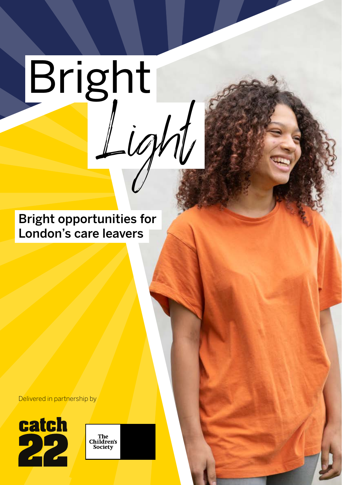# Bright inl

Bright opportunities for London's care leavers

Delivered in partnership by



The<br>Children's<br>Society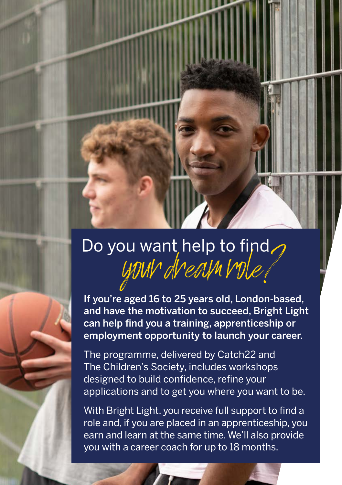# Do you want help to find.<br>VINN NealMVDle

If you're aged 16 to 25 years old, London-based, and have the motivation to succeed, Bright Light can help find you a training, apprenticeship or employment opportunity to launch your career.

The programme, delivered by Catch22 and The Children's Society, includes workshops designed to build confidence, refine your applications and to get you where you want to be.

With Bright Light, you receive full support to find a role and, if you are placed in an apprenticeship, you earn and learn at the same time. We'll also provide you with a career coach for up to 18 months.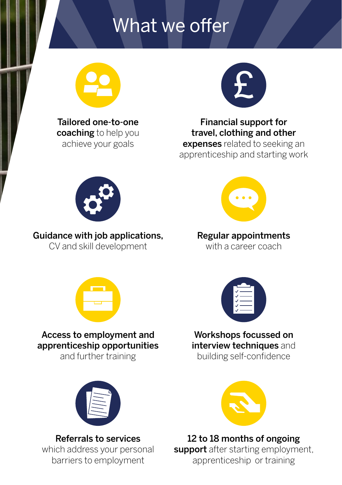# What we offer



Tailored one-to-one coaching to help you achieve your goals



Financial support for travel, clothing and other expenses related to seeking an apprenticeship and starting work



# Guidance with job applications,

CV and skill development



### Regular appointments

with a career coach



## Access to employment and apprenticeship opportunities

and further training



#### Referrals to services

which address your personal barriers to employment



### Workshops focussed on interview techniques and

building self-confidence



12 to 18 months of ongoing support after starting employment, apprenticeship or training